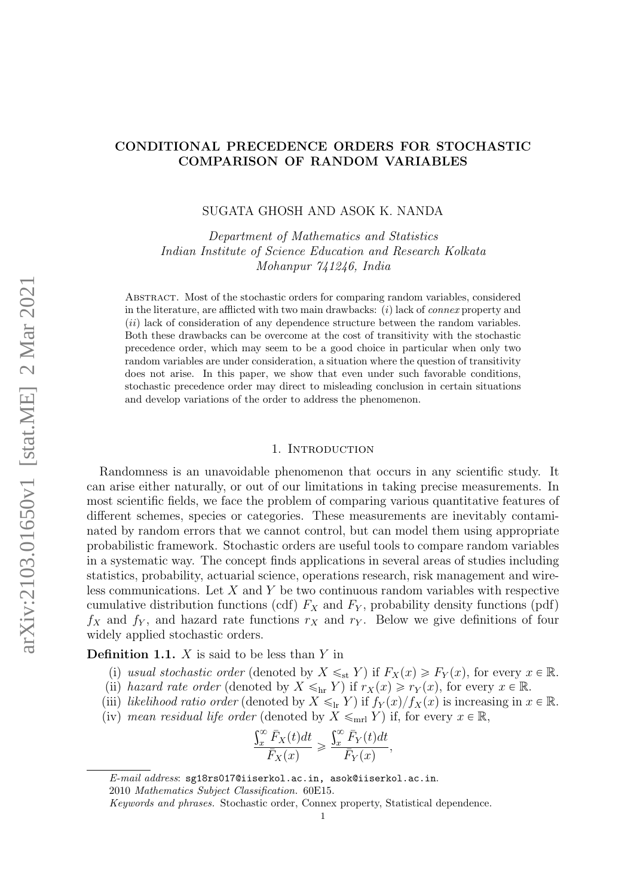# CONDITIONAL PRECEDENCE ORDERS FOR STOCHASTIC COMPARISON OF RANDOM VARIABLES

## SUGATA GHOSH AND ASOK K. NANDA

Department of Mathematics and Statistics Indian Institute of Science Education and Research Kolkata Mohanpur 741246, India

Abstract. Most of the stochastic orders for comparing random variables, considered in the literature, are afflicted with two main drawbacks:  $(i)$  lack of *connex* property and  $(iii)$  lack of consideration of any dependence structure between the random variables. Both these drawbacks can be overcome at the cost of transitivity with the stochastic precedence order, which may seem to be a good choice in particular when only two random variables are under consideration, a situation where the question of transitivity does not arise. In this paper, we show that even under such favorable conditions, stochastic precedence order may direct to misleading conclusion in certain situations and develop variations of the order to address the phenomenon.

## 1. INTRODUCTION

Randomness is an unavoidable phenomenon that occurs in any scientific study. It can arise either naturally, or out of our limitations in taking precise measurements. In most scientific fields, we face the problem of comparing various quantitative features of different schemes, species or categories. These measurements are inevitably contaminated by random errors that we cannot control, but can model them using appropriate probabilistic framework. Stochastic orders are useful tools to compare random variables in a systematic way. The concept finds applications in several areas of studies including statistics, probability, actuarial science, operations research, risk management and wireless communications. Let  $X$  and  $Y$  be two continuous random variables with respective cumulative distribution functions (cdf)  $F_X$  and  $F_Y$ , probability density functions (pdf)  $f_X$  and  $f_Y$ , and hazard rate functions  $r_X$  and  $r_Y$ . Below we give definitions of four widely applied stochastic orders.

**Definition 1.1.**  $X$  is said to be less than  $Y$  in

- (i) usual stochastic order (denoted by  $X \leq_{st} Y$ ) if  $F_X(x) \geq F_Y(x)$ , for every  $x \in \mathbb{R}$ .
- (ii) hazard rate order (denoted by  $X \leq_{hr} Y$ ) if  $r_X(x) \geq r_Y(x)$ , for every  $x \in \mathbb{R}$ .
- (iii) likelihood ratio order (denoted by  $X \leq_{\text{lr}} Y$ ) if  $f_Y(x)/f_X(x)$  is increasing in  $x \in \mathbb{R}$ .
- (iv) mean residual life order (denoted by  $X \leq_{\text{mrl}} Y$ ) if, for every  $x \in \mathbb{R}$ ,

$$
\frac{\int_x^{\infty} \bar{F}_X(t)dt}{\bar{F}_X(x)} \geq \frac{\int_x^{\infty} \bar{F}_Y(t)dt}{\bar{F}_Y(x)},
$$

E-mail address: sg18rs017@iiserkol.ac.in, asok@iiserkol.ac.in.

<sup>2010</sup> Mathematics Subject Classification. 60E15.

Keywords and phrases. Stochastic order, Connex property, Statistical dependence.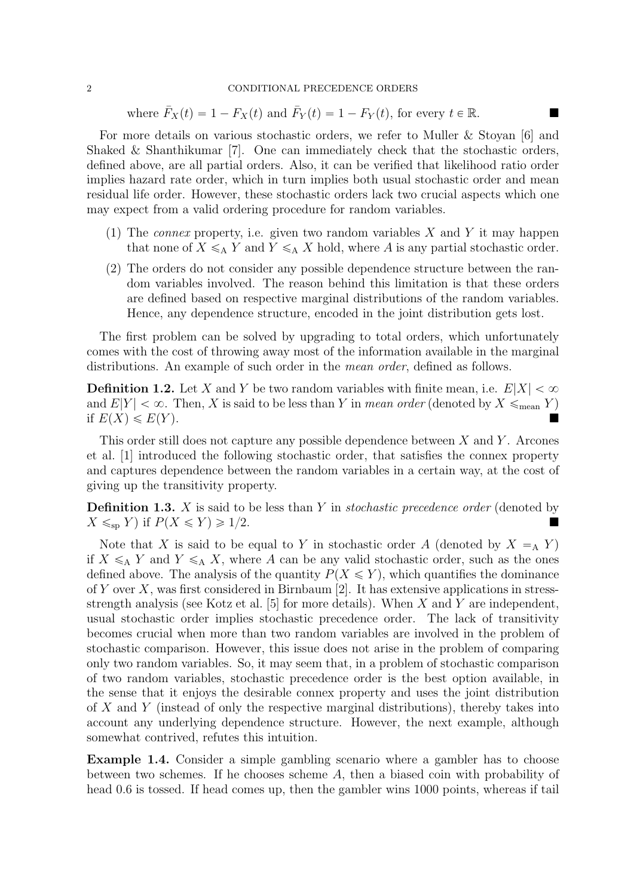## 2 CONDITIONAL PRECEDENCE ORDERS

where  $\bar{F}_X(t) = 1 - F_X(t)$  and  $\bar{F}_Y(t) = 1 - F_Y(t)$ , for every  $t \in \mathbb{R}$ .

For more details on various stochastic orders, we refer to Muller & Stoyan [\[6\]](#page-9-0) and Shaked & Shanthikumar [\[7\]](#page-9-1). One can immediately check that the stochastic orders, defined above, are all partial orders. Also, it can be verified that likelihood ratio order implies hazard rate order, which in turn implies both usual stochastic order and mean residual life order. However, these stochastic orders lack two crucial aspects which one may expect from a valid ordering procedure for random variables.

- (1) The *connex* property, i.e. given two random variables  $X$  and  $Y$  it may happen that none of  $X \leq_{A} Y$  and  $Y \leq_{A} X$  hold, where A is any partial stochastic order.
- (2) The orders do not consider any possible dependence structure between the random variables involved. The reason behind this limitation is that these orders are defined based on respective marginal distributions of the random variables. Hence, any dependence structure, encoded in the joint distribution gets lost.

The first problem can be solved by upgrading to total orders, which unfortunately comes with the cost of throwing away most of the information available in the marginal distributions. An example of such order in the *mean order*, defined as follows.

**Definition 1.2.** Let X and Y be two random variables with finite mean, i.e.  $E|X| < \infty$ and  $E[Y] < \infty$ . Then, X is said to be less than Y in mean order (denoted by  $X \leq_{\text{mean}} Y$ ) if  $E(X) \le E(Y)$ .

This order still does not capture any possible dependence between  $X$  and  $Y$ . Arcones et al. [\[1\]](#page-8-0) introduced the following stochastic order, that satisfies the connex property and captures dependence between the random variables in a certain way, at the cost of giving up the transitivity property.

<span id="page-1-0"></span>**Definition 1.3.** X is said to be less than Y in *stochastic precedence order* (denoted by  $X \leq_{\text{sp}} Y$  if  $P(X \leq Y) \geq 1/2$ .

Note that X is said to be equal to Y in stochastic order A (denoted by  $X = A$  Y) if  $X \leq_A Y$  and  $Y \leq_A X$ , where A can be any valid stochastic order, such as the ones defined above. The analysis of the quantity  $P(X \leq Y)$ , which quantifies the dominance of Y over X, was first considered in Birnbaum  $[2]$ . It has extensive applications in stress-strength analysis (see Kotz et al. [\[5\]](#page-9-2) for more details). When X and Y are independent, usual stochastic order implies stochastic precedence order. The lack of transitivity becomes crucial when more than two random variables are involved in the problem of stochastic comparison. However, this issue does not arise in the problem of comparing only two random variables. So, it may seem that, in a problem of stochastic comparison of two random variables, stochastic precedence order is the best option available, in the sense that it enjoys the desirable connex property and uses the joint distribution of  $X$  and  $Y$  (instead of only the respective marginal distributions), thereby takes into account any underlying dependence structure. However, the next example, although somewhat contrived, refutes this intuition.

<span id="page-1-1"></span>Example 1.4. Consider a simple gambling scenario where a gambler has to choose between two schemes. If he chooses scheme A, then a biased coin with probability of head 0.6 is tossed. If head comes up, then the gambler wins 1000 points, whereas if tail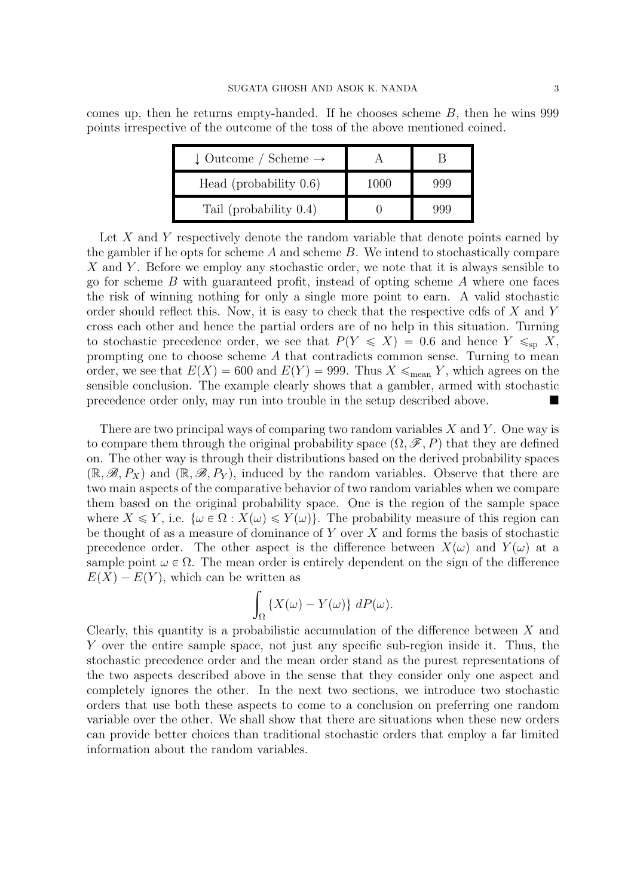comes up, then he returns empty-handed. If he chooses scheme  $B$ , then he wins 999 points irrespective of the outcome of the toss of the above mentioned coined.

| $\downarrow$ Outcome / Scheme $\rightarrow$ |      |       |
|---------------------------------------------|------|-------|
| Head (probability $0.6$ )                   | 1000 | 999   |
| Tail (probability $0.4$ )                   |      | -999- |

Let X and Y respectively denote the random variable that denote points earned by the gambler if he opts for scheme  $A$  and scheme  $B$ . We intend to stochastically compare X and Y. Before we employ any stochastic order, we note that it is always sensible to go for scheme  $B$  with guaranteed profit, instead of opting scheme  $A$  where one faces the risk of winning nothing for only a single more point to earn. A valid stochastic order should reflect this. Now, it is easy to check that the respective cdfs of X and Y cross each other and hence the partial orders are of no help in this situation. Turning to stochastic precedence order, we see that  $P(Y \leq X) = 0.6$  and hence  $Y \leq_{\text{sp}} X$ , prompting one to choose scheme A that contradicts common sense. Turning to mean order, we see that  $E(X) = 600$  and  $E(Y) = 999$ . Thus  $X \leq_{\text{mean}} Y$ , which agrees on the sensible conclusion. The example clearly shows that a gambler, armed with stochastic precedence order only, may run into trouble in the setup described above.

There are two principal ways of comparing two random variables  $X$  and  $Y$ . One way is to compare them through the original probability space  $(\Omega, \mathscr{F}, P)$  that they are defined on. The other way is through their distributions based on the derived probability spaces  $(\mathbb{R}, \mathscr{B}, P_X)$  and  $(\mathbb{R}, \mathscr{B}, P_Y)$ , induced by the random variables. Observe that there are two main aspects of the comparative behavior of two random variables when we compare them based on the original probability space. One is the region of the sample space where  $X \leq Y$ , i.e.  $\{\omega \in \Omega : X(\omega) \leq Y(\omega)\}\)$ . The probability measure of this region can be thought of as a measure of dominance of  $Y$  over  $X$  and forms the basis of stochastic precedence order. The other aspect is the difference between  $X(\omega)$  and  $Y(\omega)$  at a sample point  $\omega \in \Omega$ . The mean order is entirely dependent on the sign of the difference  $E(X) - E(Y)$ , which can be written as

$$
\int_{\Omega} \{X(\omega) - Y(\omega)\} \ dP(\omega).
$$

Clearly, this quantity is a probabilistic accumulation of the difference between X and Y over the entire sample space, not just any specific sub-region inside it. Thus, the stochastic precedence order and the mean order stand as the purest representations of the two aspects described above in the sense that they consider only one aspect and completely ignores the other. In the next two sections, we introduce two stochastic orders that use both these aspects to come to a conclusion on preferring one random variable over the other. We shall show that there are situations when these new orders can provide better choices than traditional stochastic orders that employ a far limited information about the random variables.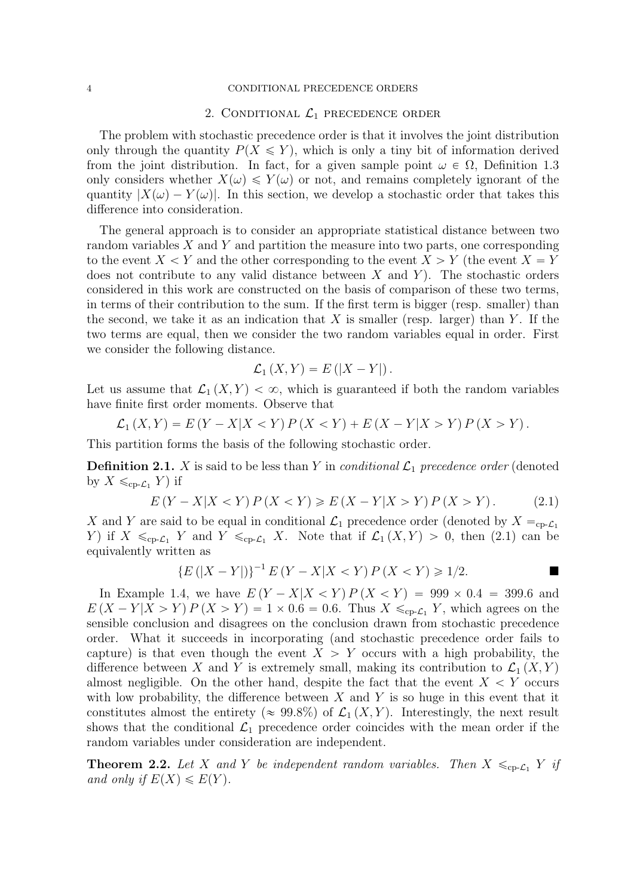#### 4 CONDITIONAL PRECEDENCE ORDERS

## 2. CONDITIONAL  $\mathcal{L}_1$  precedence order

The problem with stochastic precedence order is that it involves the joint distribution only through the quantity  $P(X \leq Y)$ , which is only a tiny bit of information derived from the joint distribution. In fact, for a given sample point  $\omega \in \Omega$ , [Definition 1.3](#page-1-0) only considers whether  $X(\omega) \leq Y(\omega)$  or not, and remains completely ignorant of the quantity  $|X(\omega) - Y(\omega)|$ . In this section, we develop a stochastic order that takes this difference into consideration.

The general approach is to consider an appropriate statistical distance between two random variables  $X$  and  $Y$  and partition the measure into two parts, one corresponding to the event  $X < Y$  and the other corresponding to the event  $X > Y$  (the event  $X = Y$ does not contribute to any valid distance between  $X$  and  $Y$ ). The stochastic orders considered in this work are constructed on the basis of comparison of these two terms, in terms of their contribution to the sum. If the first term is bigger (resp. smaller) than the second, we take it as an indication that  $X$  is smaller (resp. larger) than  $Y$ . If the two terms are equal, then we consider the two random variables equal in order. First we consider the following distance.

$$
\mathcal{L}_1(X,Y) = E(|X - Y|).
$$

Let us assume that  $\mathcal{L}_1(X, Y) < \infty$ , which is guaranteed if both the random variables have finite first order moments. Observe that

$$
\mathcal{L}_1(X,Y) = E(Y - X|X < Y) P(X < Y) + E(X - Y|X > Y) P(X > Y).
$$

This partition forms the basis of the following stochastic order.

<span id="page-3-0"></span>**Definition 2.1.** X is said to be less than Y in *conditional*  $\mathcal{L}_1$  precedence order (denoted by  $X \leq_{\text{cp-}\mathcal{L}_1} Y$  if

<span id="page-3-1"></span>
$$
E(Y - X|X < Y) P(X < Y) \ge E(X - Y|X > Y) P(X > Y).
$$
 (2.1)

X and Y are said to be equal in conditional  $\mathcal{L}_1$  precedence order (denoted by  $X =_{cp-\mathcal{L}_1}$ Y) if  $X \leq_{\text{cp-}\mathcal{L}_1} Y$  and  $Y \leq_{\text{cp-}\mathcal{L}_1} X$ . Note that if  $\mathcal{L}_1(X, Y) > 0$ , then [\(2.1\)](#page-3-0) can be equivalently written as

$$
{E(|X - Y|)}^{-1} E(Y - X|X < Y) P(X < Y) \ge 1/2.
$$

In [Example 1.4,](#page-1-1) we have  $E(Y - X|X < Y) P(X < Y) = 999 \times 0.4 = 399.6$  and  $E(X - Y|X > Y) P(X > Y) = 1 \times 0.6 = 0.6$ . Thus  $X \leq_{\text{cp-}L_1} Y$ , which agrees on the sensible conclusion and disagrees on the conclusion drawn from stochastic precedence order. What it succeeds in incorporating (and stochastic precedence order fails to capture) is that even though the event  $X > Y$  occurs with a high probability, the difference between X and Y is extremely small, making its contribution to  $\mathcal{L}_1(X, Y)$ almost negligible. On the other hand, despite the fact that the event  $X < Y$  occurs with low probability, the difference between  $X$  and  $Y$  is so huge in this event that it constitutes almost the entirety ( $\approx 99.8\%$ ) of  $\mathcal{L}_1(X, Y)$ . Interestingly, the next result shows that the conditional  $\mathcal{L}_1$  precedence order coincides with the mean order if the random variables under consideration are independent.

**Theorem 2.2.** Let X and Y be independent random variables. Then  $X \leq_{\text{cp-}L_1} Y$  if and only if  $E(X) \leq E(Y)$ .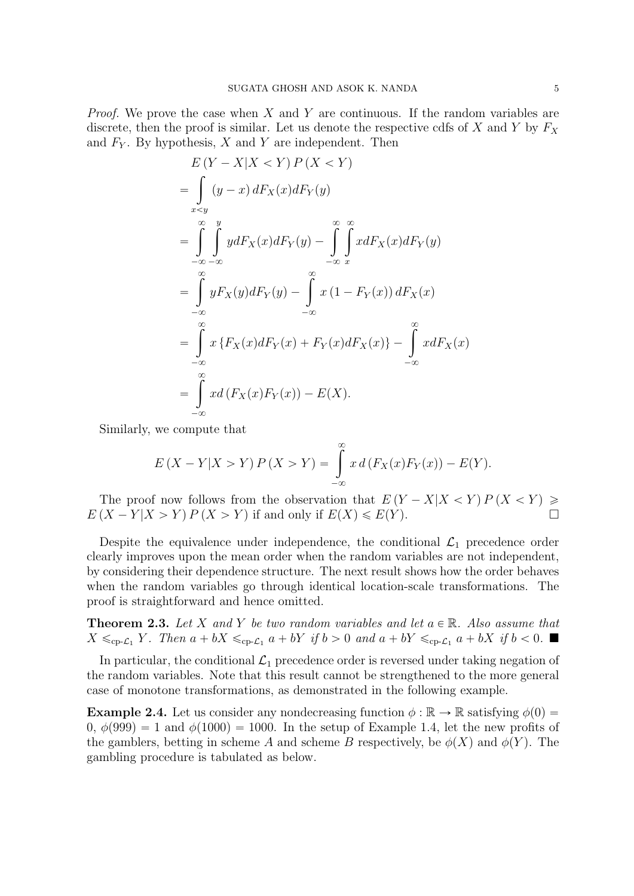*Proof.* We prove the case when  $X$  and  $Y$  are continuous. If the random variables are discrete, then the proof is similar. Let us denote the respective cdfs of X and Y by  $F_X$ and  $F_Y$ . By hypothesis, X and Y are independent. Then

$$
E(Y - X|X < Y) P(X < Y)
$$
  
= 
$$
\int_{x < y} (y - x) dF_X(x) dF_Y(y)
$$
  
= 
$$
\int_{-\infty}^{\infty} \int_{-\infty}^{y} y dF_X(x) dF_Y(y) - \int_{-\infty}^{\infty} \int_{x}^{\infty} x dF_X(x) dF_Y(y)
$$
  
= 
$$
\int_{-\infty}^{\infty} y F_X(y) dF_Y(y) - \int_{-\infty}^{\infty} x (1 - F_Y(x)) dF_X(x)
$$
  
= 
$$
\int_{-\infty}^{\infty} x \{F_X(x) dF_Y(x) + F_Y(x) dF_X(x)\} - \int_{-\infty}^{\infty} x dF_X(x)
$$
  
= 
$$
\int_{-\infty}^{\infty} x d(F_X(x) F_Y(x)) - E(X).
$$

Similarly, we compute that

$$
E(X - Y|X > Y) P(X > Y) = \int_{-\infty}^{\infty} x d(F_X(x) F_Y(x)) - E(Y).
$$

The proof now follows from the observation that  $E(Y - X|X \lt Y) P(X \lt Y) \ge$  $E(X - Y | X > Y) P(X > Y)$  if and only if  $E(X) \le E(Y)$ .

Despite the equivalence under independence, the conditional  $\mathcal{L}_1$  precedence order clearly improves upon the mean order when the random variables are not independent, by considering their dependence structure. The next result shows how the order behaves when the random variables go through identical location-scale transformations. The proof is straightforward and hence omitted.

**Theorem 2.3.** Let X and Y be two random variables and let  $a \in \mathbb{R}$ . Also assume that  $X \leq_{\text{cp-}\mathcal{L}_1} Y$ . Then  $a + bX \leq_{\text{cp-}\mathcal{L}_1} a + bY$  if  $b > 0$  and  $a + bY \leq_{\text{cp-}\mathcal{L}_1} a + bX$  if  $b < 0$ .

In particular, the conditional  $\mathcal{L}_1$  precedence order is reversed under taking negation of the random variables. Note that this result cannot be strengthened to the more general case of monotone transformations, as demonstrated in the following example.

**Example 2.4.** Let us consider any nondecreasing function  $\phi : \mathbb{R} \to \mathbb{R}$  satisfying  $\phi(0) =$ 0,  $\phi(999) = 1$  and  $\phi(1000) = 1000$ . In the setup of [Example 1.4,](#page-1-1) let the new profits of the gamblers, betting in scheme A and scheme B respectively, be  $\phi(X)$  and  $\phi(Y)$ . The gambling procedure is tabulated as below.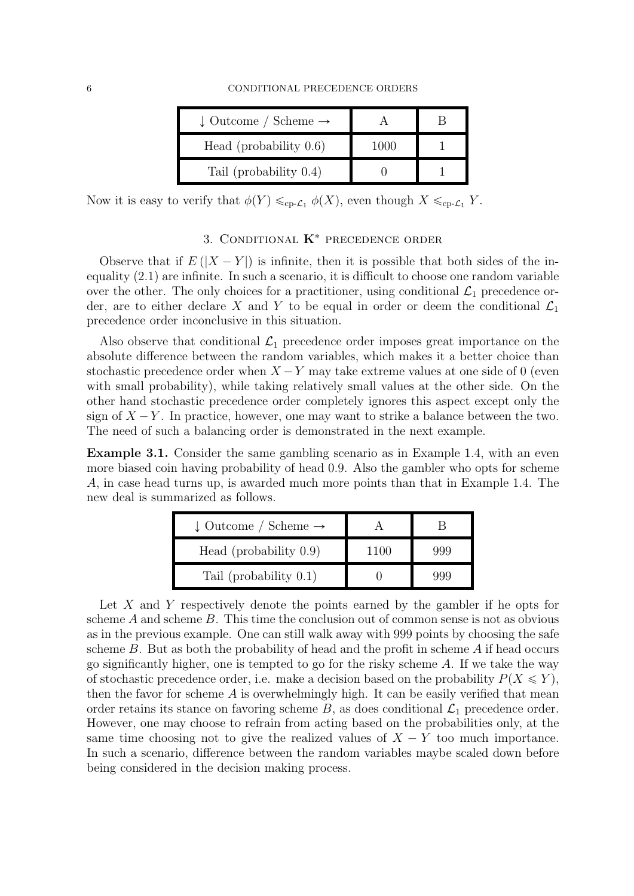| $\downarrow$ Outcome / Scheme $\rightarrow$ |      |  |
|---------------------------------------------|------|--|
| Head (probability $0.6$ )                   | 1000 |  |
| Tail (probability $0.4$ )                   |      |  |

Now it is easy to verify that  $\phi(Y) \leq_{\text{cp-}L_1} \phi(X)$ , even though  $X \leq_{\text{cp-}L_1} Y$ .

## 3. CONDITIONAL  $K^*$  PRECEDENCE ORDER

Observe that if  $E(|X - Y|)$  is infinite, then it is possible that both sides of the inequality [\(2.1\)](#page-3-1) are infinite. In such a scenario, it is difficult to choose one random variable over the other. The only choices for a practitioner, using conditional  $\mathcal{L}_1$  precedence order, are to either declare X and Y to be equal in order or deem the conditional  $\mathcal{L}_1$ precedence order inconclusive in this situation.

Also observe that conditional  $\mathcal{L}_1$  precedence order imposes great importance on the absolute difference between the random variables, which makes it a better choice than stochastic precedence order when  $X - Y$  may take extreme values at one side of 0 (even with small probability), while taking relatively small values at the other side. On the other hand stochastic precedence order completely ignores this aspect except only the sign of  $X - Y$ . In practice, however, one may want to strike a balance between the two. The need of such a balancing order is demonstrated in the next example.

<span id="page-5-0"></span>Example 3.1. Consider the same gambling scenario as in [Example 1.4,](#page-1-1) with an even more biased coin having probability of head 0.9. Also the gambler who opts for scheme A, in case head turns up, is awarded much more points than that in [Example 1.4.](#page-1-1) The new deal is summarized as follows.

| $\downarrow$ Outcome / Scheme $\rightarrow$ |     |
|---------------------------------------------|-----|
| Head (probability $0.9$ )                   | yyy |
| Tail (probability $0.1$ )                   |     |

Let X and Y respectively denote the points earned by the gambler if he opts for scheme  $A$  and scheme  $B$ . This time the conclusion out of common sense is not as obvious as in the previous example. One can still walk away with 999 points by choosing the safe scheme  $B$ . But as both the probability of head and the profit in scheme  $A$  if head occurs go significantly higher, one is tempted to go for the risky scheme  $A$ . If we take the way of stochastic precedence order, i.e. make a decision based on the probability  $P(X \leq Y)$ , then the favor for scheme  $A$  is overwhelmingly high. It can be easily verified that mean order retains its stance on favoring scheme  $B$ , as does conditional  $\mathcal{L}_1$  precedence order. However, one may choose to refrain from acting based on the probabilities only, at the same time choosing not to give the realized values of  $X - Y$  too much importance. In such a scenario, difference between the random variables maybe scaled down before being considered in the decision making process.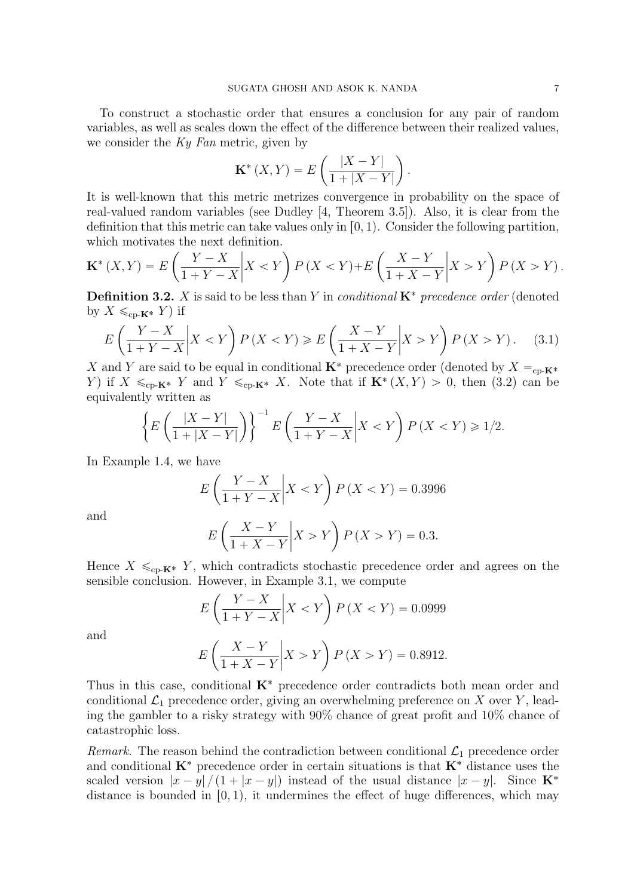To construct a stochastic order that ensures a conclusion for any pair of random variables, as well as scales down the effect of the difference between their realized values, we consider the  $Ky$  Fan metric, given by ˆ ˙

$$
\mathbf{K}^* (X,Y) = E\left(\frac{|X-Y|}{1+|X-Y|}\right).
$$

It is well-known that this metric metrizes convergence in probability on the space of real-valued random variables (see Dudley [\[4,](#page-9-3) Theorem 3.5]). Also, it is clear from the definition that this metric can take values only in  $[0, 1)$ . Consider the following partition, which motivates the next definition. ˙ ˙

$$
\mathbf{K}^* \left( X, Y \right) = E \left( \frac{Y - X}{1 + Y - X} \middle| X < Y \right) P \left( X < Y \right) + E \left( \frac{X - Y}{1 + X - Y} \middle| X > Y \right) P \left( X > Y \right).
$$

<span id="page-6-0"></span>**Definition 3.2.** X is said to be less than Y in *conditional*  $\mathbf{K}^*$  precedence order (denoted by  $X \leq_{\text{cp-}{\mathbf K}^*} Y$  if ˙ ˆ ˙

$$
E\left(\frac{Y-X}{1+Y-X}\bigg|X < Y\right)P\left(X < Y\right) \ge E\left(\frac{X-Y}{1+X-Y}\bigg|X > Y\right)P\left(X > Y\right). \tag{3.1}
$$

X and Y are said to be equal in conditional  $\mathbf{K}^*$  precedence order (denoted by  $X =_{\text{cp-}\mathbf{K}^*}$ Y) if  $X \leq_{\text{cp-}K^*} Y$  and  $Y \leq_{\text{cp-}K^*} X$ . Note that if  $\mathbf{K}^*(X, Y) > 0$ , then [\(3.2\)](#page-6-0) can be equivalently written as ˆ ˙

$$
\left\{ E\left(\frac{|X-Y|}{1+|X-Y|}\right) \right\}^{-1} E\left(\frac{Y-X}{1+Y-X}\middle| X < Y\right) P\left(X < Y\right) \geq 1/2.
$$

In [Example 1.4,](#page-1-1) we have

$$
E\left(\frac{Y-X}{1+Y-X}\middle|X < Y\right)P\left(X < Y\right) = 0.3996
$$

and

$$
E\left(\frac{X-Y}{1+X-Y}\middle|X>Y\right)P\left(X>Y\right) = 0.3.
$$

Hence  $X \leq_{\text{cp-}K^*} Y$ , which contradicts stochastic precedence order and agrees on the sensible conclusion. However, in [Example 3.1,](#page-5-0) we compute

$$
E\left(\frac{Y-X}{1+Y-X}\middle|X < Y\right)P\left(X < Y\right) = 0.0999
$$
\n
$$
\left(\begin{array}{c|c} X-Y & \downarrow \end{array}\right)
$$

and

$$
E\left(\frac{X - Y}{1 + X - Y}\middle| X > Y\right) P(X > Y) = 0.8912.
$$

Thus in this case, conditional  $K^*$  precedence order contradicts both mean order and conditional  $\mathcal{L}_1$  precedence order, giving an overwhelming preference on X over Y, leading the gambler to a risky strategy with 90% chance of great profit and 10% chance of catastrophic loss.

Remark. The reason behind the contradiction between conditional  $\mathcal{L}_1$  precedence order and conditional  $K^*$  precedence order in certain situations is that  $K^*$  distance uses the scaled version  $|x-y|/(1+|x-y|)$  instead of the usual distance  $|x-y|$ . Since  $\mathbf{K}^*$ distance is bounded in  $[0, 1)$ , it undermines the effect of huge differences, which may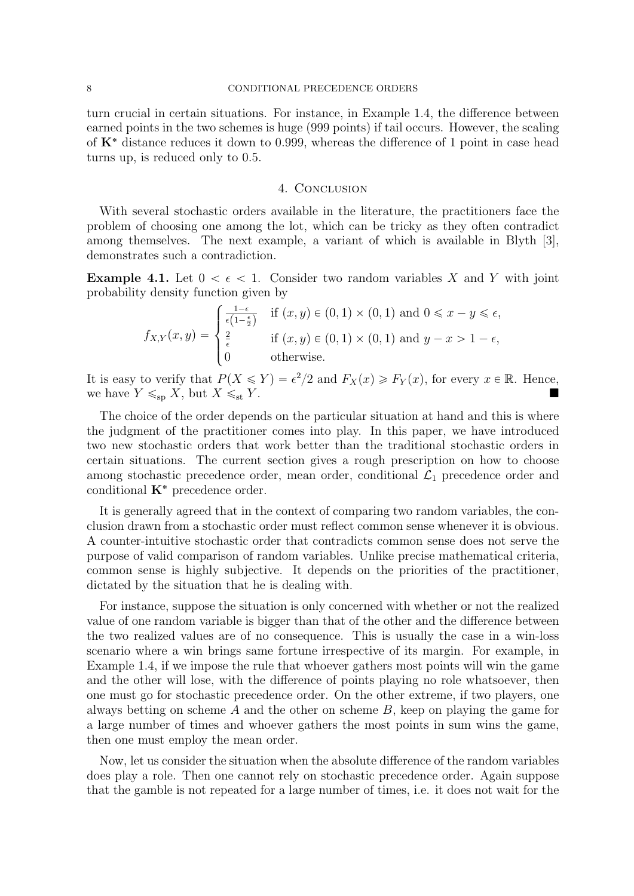turn crucial in certain situations. For instance, in [Example 1.4,](#page-1-1) the difference between earned points in the two schemes is huge (999 points) if tail occurs. However, the scaling of  $K^*$  distance reduces it down to 0.999, whereas the difference of 1 point in case head turns up, is reduced only to 0.5.

## 4. Conclusion

With several stochastic orders available in the literature, the practitioners face the problem of choosing one among the lot, which can be tricky as they often contradict among themselves. The next example, a variant of which is available in Blyth [\[3\]](#page-8-2), demonstrates such a contradiction.

**Example 4.1.** Let  $0 < \epsilon < 1$ . Consider two random variables X and Y with joint probability density function given by \$

$$
f_{X,Y}(x,y) = \begin{cases} \frac{1-\epsilon}{\epsilon(1-\frac{\epsilon}{2})} & \text{if } (x,y) \in (0,1) \times (0,1) \text{ and } 0 \leq x-y \leq \epsilon, \\ \frac{2}{\epsilon} & \text{if } (x,y) \in (0,1) \times (0,1) \text{ and } y-x > 1-\epsilon, \\ 0 & \text{otherwise.} \end{cases}
$$

It is easy to verify that  $P(X \leq Y) = \epsilon^2/2$  and  $F_X(x) \geq F_Y(x)$ , for every  $x \in \mathbb{R}$ . Hence, we have  $Y \leq_{\text{sp}} X$ , but  $X \leq_{\text{st}} Y$ .

The choice of the order depends on the particular situation at hand and this is where the judgment of the practitioner comes into play. In this paper, we have introduced two new stochastic orders that work better than the traditional stochastic orders in certain situations. The current section gives a rough prescription on how to choose among stochastic precedence order, mean order, conditional  $\mathcal{L}_1$  precedence order and conditional  $\mathbf{K}^*$  precedence order.

It is generally agreed that in the context of comparing two random variables, the conclusion drawn from a stochastic order must reflect common sense whenever it is obvious. A counter-intuitive stochastic order that contradicts common sense does not serve the purpose of valid comparison of random variables. Unlike precise mathematical criteria, common sense is highly subjective. It depends on the priorities of the practitioner, dictated by the situation that he is dealing with.

For instance, suppose the situation is only concerned with whether or not the realized value of one random variable is bigger than that of the other and the difference between the two realized values are of no consequence. This is usually the case in a win-loss scenario where a win brings same fortune irrespective of its margin. For example, in [Example 1.4,](#page-1-1) if we impose the rule that whoever gathers most points will win the game and the other will lose, with the difference of points playing no role whatsoever, then one must go for stochastic precedence order. On the other extreme, if two players, one always betting on scheme A and the other on scheme  $B$ , keep on playing the game for a large number of times and whoever gathers the most points in sum wins the game, then one must employ the mean order.

Now, let us consider the situation when the absolute difference of the random variables does play a role. Then one cannot rely on stochastic precedence order. Again suppose that the gamble is not repeated for a large number of times, i.e. it does not wait for the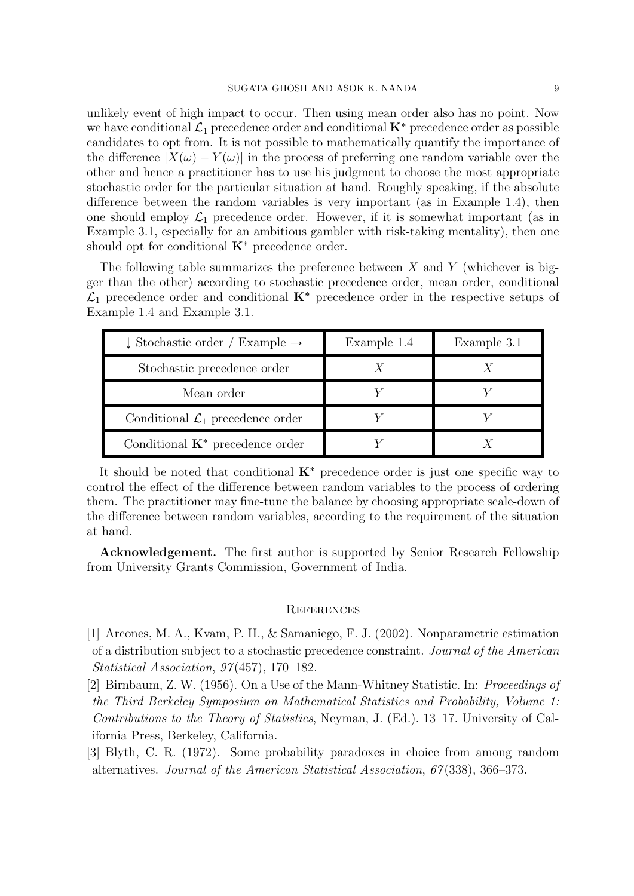unlikely event of high impact to occur. Then using mean order also has no point. Now we have conditional  $\mathcal{L}_1$  precedence order and conditional  $\mathbf{K}^*$  precedence order as possible candidates to opt from. It is not possible to mathematically quantify the importance of the difference  $|X(\omega) - Y(\omega)|$  in the process of preferring one random variable over the other and hence a practitioner has to use his judgment to choose the most appropriate stochastic order for the particular situation at hand. Roughly speaking, if the absolute difference between the random variables is very important (as in [Example 1.4\)](#page-1-1), then one should employ  $\mathcal{L}_1$  precedence order. However, if it is somewhat important (as in [Example 3.1,](#page-5-0) especially for an ambitious gambler with risk-taking mentality), then one should opt for conditional  $K^*$  precedence order.

The following table summarizes the preference between  $X$  and  $Y$  (whichever is bigger than the other) according to stochastic precedence order, mean order, conditional  $\mathcal{L}_1$  precedence order and conditional  $\mathbf{K}^*$  precedence order in the respective setups of [Example 1.4](#page-1-1) and [Example 3.1.](#page-5-0)

| $\downarrow$ Stochastic order / Example $\rightarrow$ | Example 1.4 | Example 3.1 |
|-------------------------------------------------------|-------------|-------------|
| Stochastic precedence order                           |             |             |
| Mean order                                            |             |             |
| Conditional $\mathcal{L}_1$ precedence order          |             |             |
| Conditional $K^*$ precedence order                    |             |             |

It should be noted that conditional  $K^*$  precedence order is just one specific way to control the effect of the difference between random variables to the process of ordering them. The practitioner may fine-tune the balance by choosing appropriate scale-down of the difference between random variables, according to the requirement of the situation at hand.

Acknowledgement. The first author is supported by Senior Research Fellowship from University Grants Commission, Government of India.

### **REFERENCES**

- <span id="page-8-0"></span>[1] Arcones, M. A., Kvam, P. H., & Samaniego, F. J. (2002). Nonparametric estimation of a distribution subject to a stochastic precedence constraint. Journal of the American Statistical Association, 97 (457), 170–182.
- <span id="page-8-1"></span>[2] Birnbaum, Z. W. (1956). On a Use of the Mann-Whitney Statistic. In: Proceedings of the Third Berkeley Symposium on Mathematical Statistics and Probability, Volume 1: Contributions to the Theory of Statistics, Neyman, J. (Ed.). 13–17. University of California Press, Berkeley, California.
- <span id="page-8-2"></span>[3] Blyth, C. R. (1972). Some probability paradoxes in choice from among random alternatives. Journal of the American Statistical Association, 67 (338), 366–373.